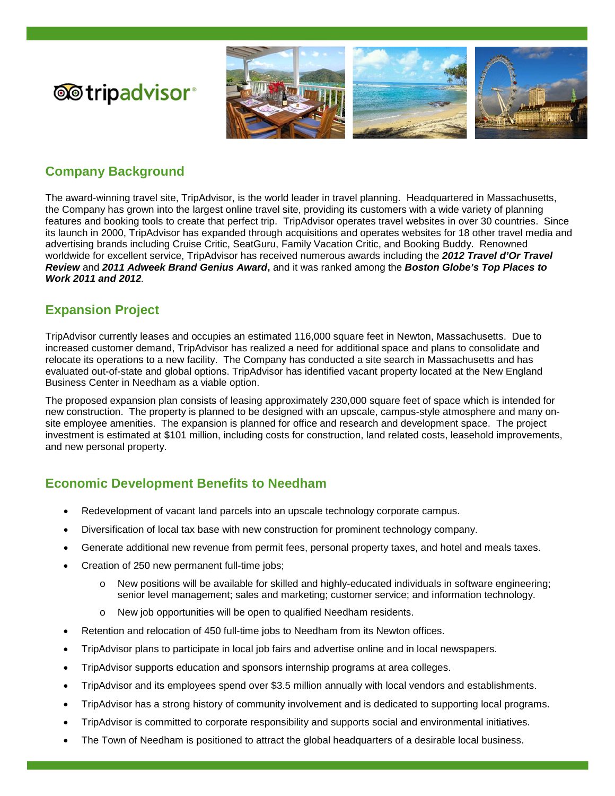

# **Company Background**

**@**tripadvisor®

The award-winning travel site, TripAdvisor, is the world leader in travel planning. Headquartered in Massachusetts, the Company has grown into the largest online travel site, providing its customers with a wide variety of planning features and booking tools to create that perfect trip. TripAdvisor operates travel websites in over 30 countries. Since its launch in 2000, TripAdvisor has expanded through acquisitions and operates websites for 18 other travel media and advertising brands including Cruise Critic, SeatGuru, Family Vacation Critic, and Booking Buddy. Renowned worldwide for excellent service, TripAdvisor has received numerous awards including the *2012 Travel d'Or Travel Review* and *2011 Adweek Brand Genius Award***,** and it was ranked among the *Boston Globe's Top Places to Work 2011 and 2012.*

# **Expansion Project**

l

TripAdvisor currently leases and occupies an estimated 116,000 square feet in Newton, Massachusetts. Due to increased customer demand, TripAdvisor has realized a need for additional space and plans to consolidate and relocate its operations to a new facility. The Company has conducted a site search in Massachusetts and has evaluated out-of-state and global options. TripAdvisor has identified vacant property located at the New England Business Center in Needham as a viable option.

The proposed expansion plan consists of leasing approximately 230,000 square feet of space which is intended for new construction. The property is planned to be designed with an upscale, campus-style atmosphere and many onsite employee amenities. The expansion is planned for office and research and development space. The project investment is estimated at \$101 million, including costs for construction, land related costs, leasehold improvements, and new personal property.

# **Economic Development Benefits to Needham**

- Redevelopment of vacant land parcels into an upscale technology corporate campus.
- Diversification of local tax base with new construction for prominent technology company.
- Generate additional new revenue from permit fees, personal property taxes, and hotel and meals taxes.
- Creation of 250 new permanent full-time jobs;
	- o New positions will be available for skilled and highly-educated individuals in software engineering; senior level management; sales and marketing; customer service; and information technology.
	- New job opportunities will be open to qualified Needham residents.
- Retention and relocation of 450 full-time jobs to Needham from its Newton offices.
- TripAdvisor plans to participate in local job fairs and advertise online and in local newspapers.
- TripAdvisor supports education and sponsors internship programs at area colleges.
- TripAdvisor and its employees spend over \$3.5 million annually with local vendors and establishments.
- TripAdvisor has a strong history of community involvement and is dedicated to supporting local programs.
- TripAdvisor is committed to corporate responsibility and supports social and environmental initiatives.
- The Town of Needham is positioned to attract the global headquarters of a desirable local business.